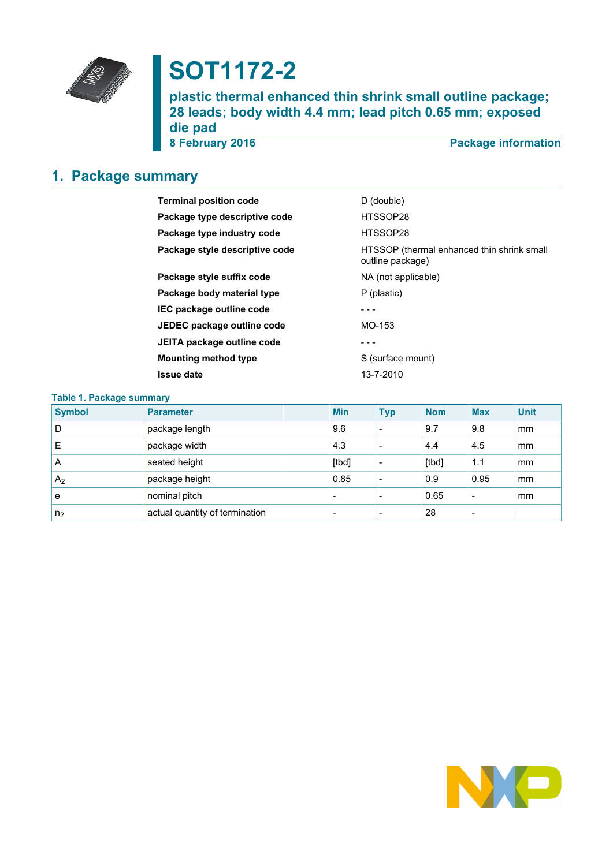

# **SOT1172-2**

**plastic thermal enhanced thin shrink small outline package; 28 leads; body width 4.4 mm; lead pitch 0.65 mm; exposed die pad**

**8 February 2016 Package information**

## <span id="page-0-0"></span>**1. Package summary**

| <b>Terminal position code</b>  | D (double)                                                     |
|--------------------------------|----------------------------------------------------------------|
| Package type descriptive code  | HTSSOP28                                                       |
| Package type industry code     | HTSSOP28                                                       |
| Package style descriptive code | HTSSOP (thermal enhanced thin shrink small<br>outline package) |
| Package style suffix code      | NA (not applicable)                                            |
| Package body material type     | P (plastic)                                                    |
| IEC package outline code       |                                                                |
| JEDEC package outline code     | MO-153                                                         |
| JEITA package outline code     |                                                                |
| <b>Mounting method type</b>    | S (surface mount)                                              |
| <b>Issue date</b>              | 13-7-2010                                                      |

| <b>Table 1. Package summary</b> |                                |  |                          |                          |            |            |             |  |  |
|---------------------------------|--------------------------------|--|--------------------------|--------------------------|------------|------------|-------------|--|--|
| <b>Symbol</b>                   | <b>Parameter</b>               |  | <b>Min</b>               | <b>Typ</b>               | <b>Nom</b> | <b>Max</b> | <b>Unit</b> |  |  |
| D                               | package length                 |  | 9.6                      | $\overline{\phantom{a}}$ | 9.7        | 9.8        | mm          |  |  |
| Ε                               | package width                  |  | 4.3                      | $\overline{\phantom{a}}$ | 4.4        | 4.5        | mm          |  |  |
| A                               | seated height                  |  | [tbd]                    | $\overline{\phantom{a}}$ | [tbd]      | 1.1        | mm          |  |  |
| A <sub>2</sub>                  | package height                 |  | 0.85                     | $\overline{\phantom{a}}$ | 0.9        | 0.95       | mm          |  |  |
| e                               | nominal pitch                  |  |                          |                          | 0.65       |            | mm          |  |  |
| n <sub>2</sub>                  | actual quantity of termination |  | $\overline{\phantom{0}}$ | $\overline{\phantom{a}}$ | 28         |            |             |  |  |

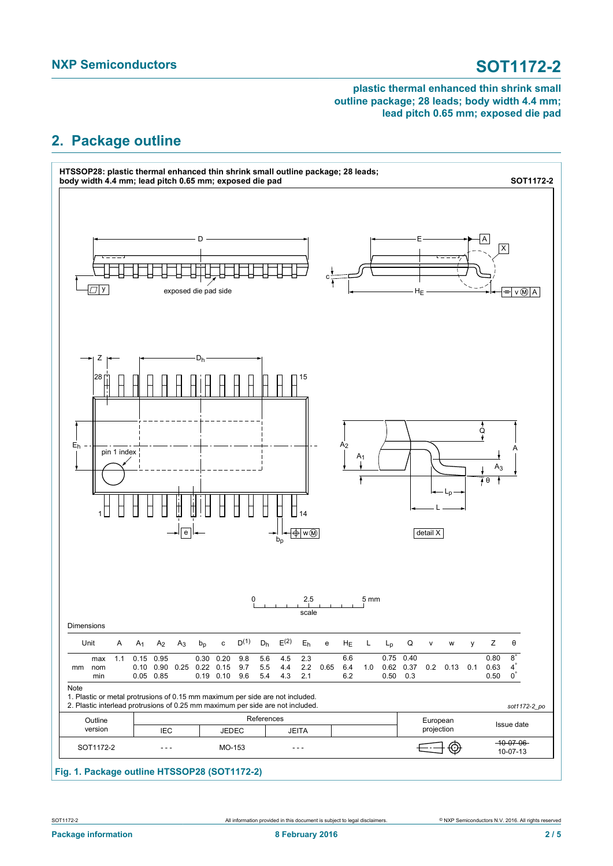## <span id="page-1-0"></span>**2. Package outline**

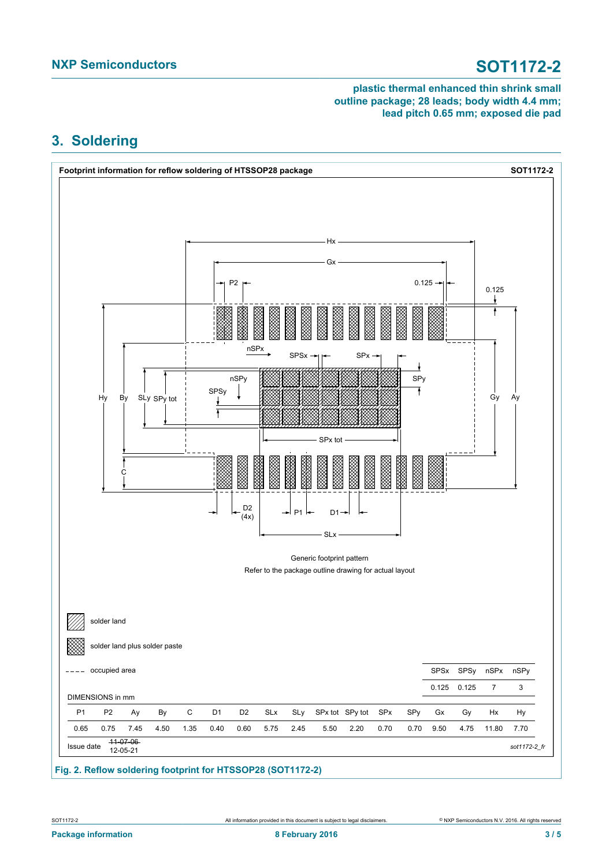## <span id="page-2-0"></span>**3. Soldering**



**Fig. 2. Reflow soldering footprint for HTSSOP28 (SOT1172-2)**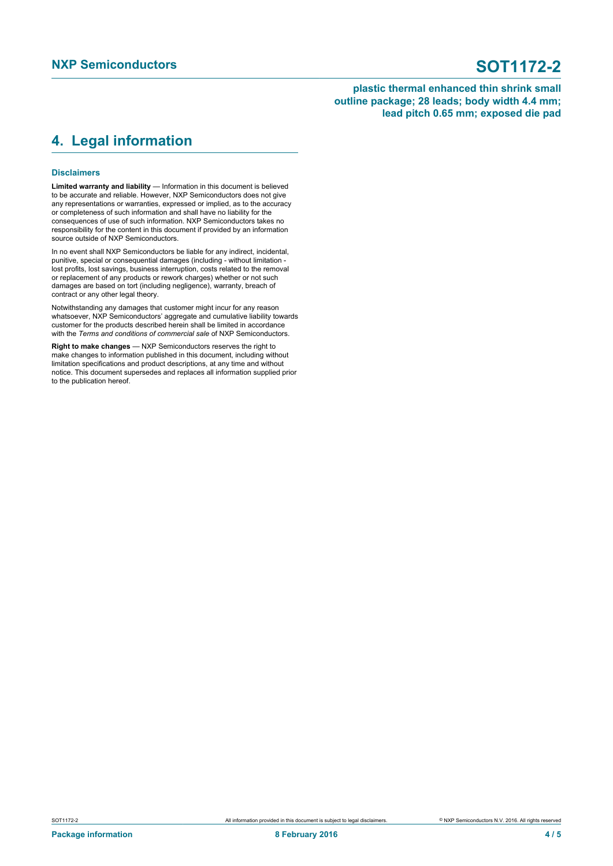### <span id="page-3-0"></span>**4. Legal information**

### **Disclaimers**

**Limited warranty and liability** — Information in this document is believed to be accurate and reliable. However, NXP Semiconductors does not give any representations or warranties, expressed or implied, as to the accuracy or completeness of such information and shall have no liability for the consequences of use of such information. NXP Semiconductors takes no responsibility for the content in this document if provided by an information source outside of NXP Semiconductors.

In no event shall NXP Semiconductors be liable for any indirect, incidental, punitive, special or consequential damages (including - without limitation lost profits, lost savings, business interruption, costs related to the removal or replacement of any products or rework charges) whether or not such damages are based on tort (including negligence), warranty, breach of contract or any other legal theory.

Notwithstanding any damages that customer might incur for any reason whatsoever, NXP Semiconductors' aggregate and cumulative liability towards customer for the products described herein shall be limited in accordance with the *Terms and conditions of commercial sale* of NXP Semiconductors.

**Right to make changes** — NXP Semiconductors reserves the right to make changes to information published in this document, including without limitation specifications and product descriptions, at any time and without notice. This document supersedes and replaces all information supplied prior to the publication hereof.